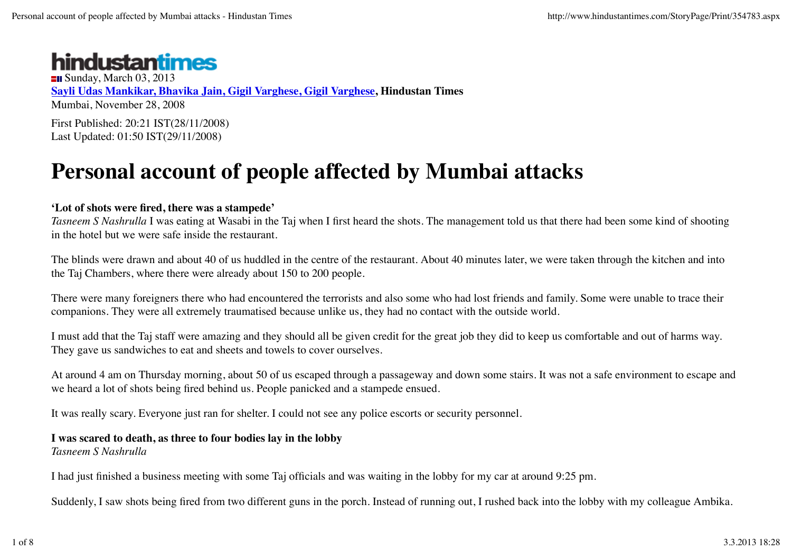

 $\Box$  Sunday, March 03, 2013 **Sayli Udas Mankikar, Bhavika Jain, Gigil Varghese, Gigil Varghese, Hindustan Times** Mumbai, November 28, 2008

First Published: 20:21 IST(28/11/2008) Last Updated: 01:50 IST(29/11/2008)

# **Personal account of people affected by Mumbai attacks**

# **'Lot of shots were fired, there was a stampede'**

*Tasneem S Nashrulla* I was eating at Wasabi in the Taj when I first heard the shots. The management told us that there had been some kind of shooting in the hotel but we were safe inside the restaurant.

The blinds were drawn and about 40 of us huddled in the centre of the restaurant. About 40 minutes later, we were taken through the kitchen and into the Taj Chambers, where there were already about 150 to 200 people.

There were many foreigners there who had encountered the terrorists and also some who had lost friends and family. Some were unable to trace their companions. They were all extremely traumatised because unlike us, they had no contact with the outside world.

I must add that the Taj staff were amazing and they should all be given credit for the great job they did to keep us comfortable and out of harms way. They gave us sandwiches to eat and sheets and towels to cover ourselves.

At around 4 am on Thursday morning, about 50 of us escaped through a passageway and down some stairs. It was not a safe environment to escape and we heard a lot of shots being fired behind us. People panicked and a stampede ensued.

It was really scary. Everyone just ran for shelter. I could not see any police escorts or security personnel.

#### **I was scared to death, as three to four bodies lay in the lobby** *Tasneem S Nashrulla*

I had just finished a business meeting with some Taj officials and was waiting in the lobby for my car at around 9:25 pm.

Suddenly, I saw shots being fired from two different guns in the porch. Instead of running out, I rushed back into the lobby with my colleague Ambika.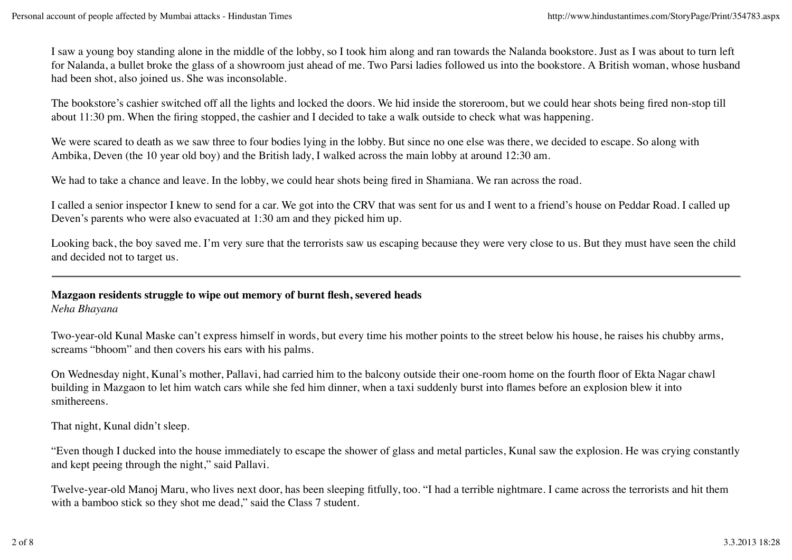I saw a young boy standing alone in the middle of the lobby, so I took him along and ran towards the Nalanda bookstore. Just as I was about to turn left for Nalanda, a bullet broke the glass of a showroom just ahead of me. Two Parsi ladies followed us into the bookstore. A British woman, whose husband had been shot, also joined us. She was inconsolable.

The bookstore's cashier switched off all the lights and locked the doors. We hid inside the storeroom, but we could hear shots being fired non-stop till about 11:30 pm. When the firing stopped, the cashier and I decided to take a walk outside to check what was happening.

We were scared to death as we saw three to four bodies lying in the lobby. But since no one else was there, we decided to escape. So along with Ambika, Deven (the 10 year old boy) and the British lady, I walked across the main lobby at around 12:30 am.

We had to take a chance and leave. In the lobby, we could hear shots being fired in Shamiana. We ran across the road.

I called a senior inspector I knew to send for a car. We got into the CRV that was sent for us and I went to a friend's house on Peddar Road. I called up Deven's parents who were also evacuated at 1:30 am and they picked him up.

Looking back, the boy saved me. I'm very sure that the terrorists saw us escaping because they were very close to us. But they must have seen the child and decided not to target us.

# **Mazgaon residents struggle to wipe out memory of burnt flesh, severed heads**

*Neha Bhayana*

Two-year-old Kunal Maske can't express himself in words, but every time his mother points to the street below his house, he raises his chubby arms, screams "bhoom" and then covers his ears with his palms.

On Wednesday night, Kunal's mother, Pallavi, had carried him to the balcony outside their one-room home on the fourth floor of Ekta Nagar chawl building in Mazgaon to let him watch cars while she fed him dinner, when a taxi suddenly burst into flames before an explosion blew it into smithereens.

That night, Kunal didn't sleep.

"Even though I ducked into the house immediately to escape the shower of glass and metal particles, Kunal saw the explosion. He was crying constantly and kept peeing through the night," said Pallavi.

Twelve-year-old Manoj Maru, who lives next door, has been sleeping fitfully, too. "I had a terrible nightmare. I came across the terrorists and hit them with a bamboo stick so they shot me dead," said the Class 7 student.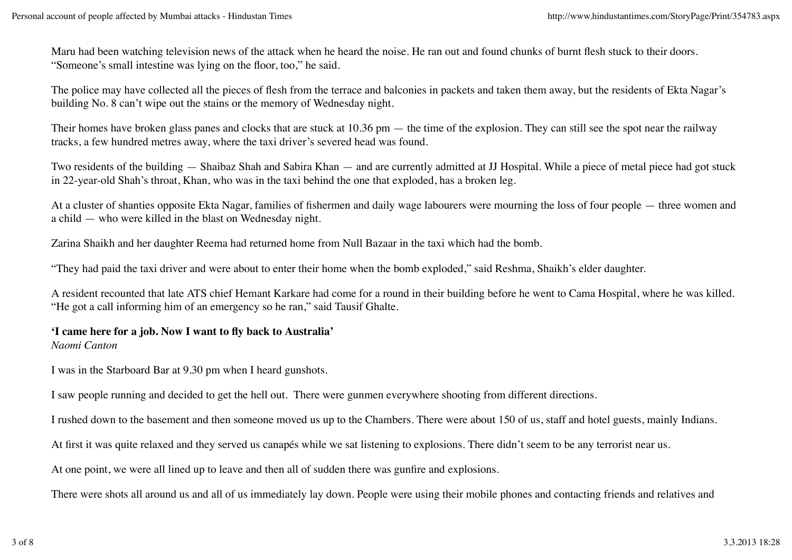Maru had been watching television news of the attack when he heard the noise. He ran out and found chunks of burnt flesh stuck to their doors. "Someone's small intestine was lying on the floor, too," he said.

The police may have collected all the pieces of flesh from the terrace and balconies in packets and taken them away, but the residents of Ekta Nagar's building No. 8 can't wipe out the stains or the memory of Wednesday night.

Their homes have broken glass panes and clocks that are stuck at 10.36 pm — the time of the explosion. They can still see the spot near the railway tracks, a few hundred metres away, where the taxi driver's severed head was found.

Two residents of the building — Shaibaz Shah and Sabira Khan — and are currently admitted at JJ Hospital. While a piece of metal piece had got stuck in 22-year-old Shah's throat, Khan, who was in the taxi behind the one that exploded, has a broken leg.

At a cluster of shanties opposite Ekta Nagar, families of fishermen and daily wage labourers were mourning the loss of four people — three women and a child — who were killed in the blast on Wednesday night.

Zarina Shaikh and her daughter Reema had returned home from Null Bazaar in the taxi which had the bomb.

"They had paid the taxi driver and were about to enter their home when the bomb exploded," said Reshma, Shaikh's elder daughter.

A resident recounted that late ATS chief Hemant Karkare had come for a round in their building before he went to Cama Hospital, where he was killed. "He got a call informing him of an emergency so he ran," said Tausif Ghalte.

#### **'I came here for a job. Now I want to fly back to Australia'**

#### *Naomi Canton*

I was in the Starboard Bar at 9.30 pm when I heard gunshots.

I saw people running and decided to get the hell out. There were gunmen everywhere shooting from different directions.

I rushed down to the basement and then someone moved us up to the Chambers. There were about 150 of us, staff and hotel guests, mainly Indians.

At first it was quite relaxed and they served us canapés while we sat listening to explosions. There didn't seem to be any terrorist near us.

At one point, we were all lined up to leave and then all of sudden there was gunfire and explosions.

There were shots all around us and all of us immediately lay down. People were using their mobile phones and contacting friends and relatives and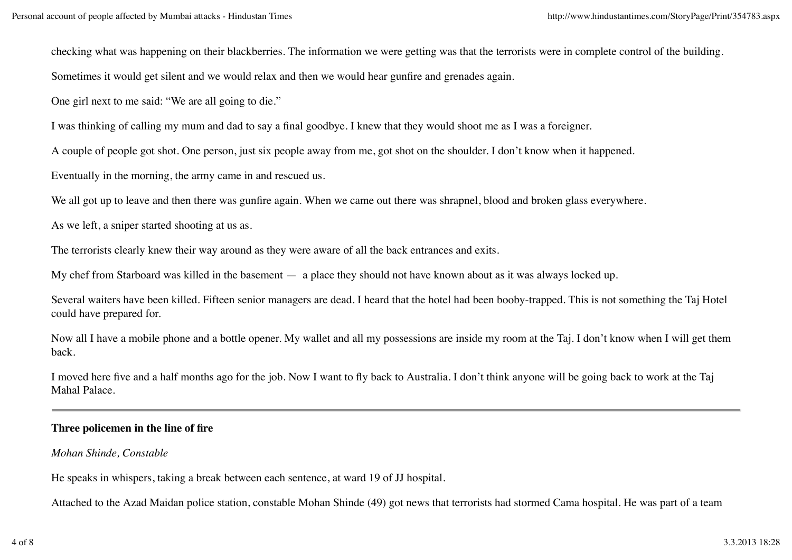checking what was happening on their blackberries. The information we were getting was that the terrorists were in complete control of the building. Sometimes it would get silent and we would relax and then we would hear gunfire and grenades again.

One girl next to me said: "We are all going to die."

I was thinking of calling my mum and dad to say a final goodbye. I knew that they would shoot me as I was a foreigner.

A couple of people got shot. One person, just six people away from me, got shot on the shoulder. I don't know when it happened.

Eventually in the morning, the army came in and rescued us.

We all got up to leave and then there was gunfire again. When we came out there was shrapnel, blood and broken glass everywhere.

As we left, a sniper started shooting at us as.

The terrorists clearly knew their way around as they were aware of all the back entrances and exits.

My chef from Starboard was killed in the basement — a place they should not have known about as it was always locked up.

Several waiters have been killed. Fifteen senior managers are dead. I heard that the hotel had been booby-trapped. This is not something the Taj Hotel could have prepared for.

Now all I have a mobile phone and a bottle opener. My wallet and all my possessions are inside my room at the Taj. I don't know when I will get them back.

I moved here five and a half months ago for the job. Now I want to fly back to Australia. I don't think anyone will be going back to work at the Taj Mahal Palace.

# **Three policemen in the line of fire**

# *Mohan Shinde, Constable*

He speaks in whispers, taking a break between each sentence, at ward 19 of JJ hospital.

Attached to the Azad Maidan police station, constable Mohan Shinde (49) got news that terrorists had stormed Cama hospital. He was part of a team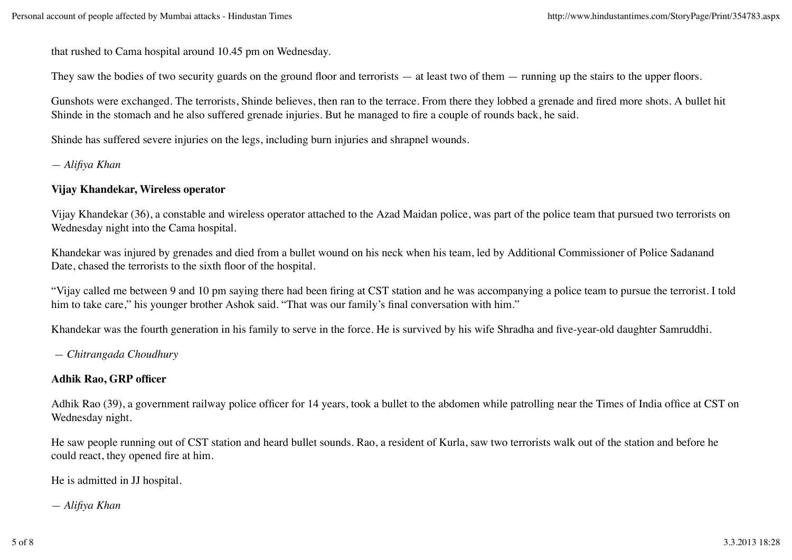that rushed to Cama hospital around 10.45 pm on Wednesday.

They saw the bodies of two security guards on the ground floor and terrorists — at least two of them — running up the stairs to the upper floors.

Gunshots were exchanged. The terrorists, Shinde believes, then ran to the terrace. From there they lobbed a grenade and fired more shots. A bullet hit Shinde in the stomach and he also suffered grenade injuries. But he managed to fire a couple of rounds back, he said.

Shinde has suffered severe injuries on the legs, including burn injuries and shrapnel wounds.

*— Alifiya Khan*

#### **Vijay Khandekar, Wireless operator**

Vijay Khandekar (36), a constable and wireless operator attached to the Azad Maidan police, was part of the police team that pursued two terrorists on Wednesday night into the Cama hospital.

Khandekar was injured by grenades and died from a bullet wound on his neck when his team, led by Additional Commissioner of Police Sadanand Date, chased the terrorists to the sixth floor of the hospital.

"Vijay called me between 9 and 10 pm saying there had been firing at CST station and he was accompanying a police team to pursue the terrorist. I told him to take care," his younger brother Ashok said. "That was our family's final conversation with him."

Khandekar was the fourth generation in his family to serve in the force. He is survived by his wife Shradha and five-year-old daughter Samruddhi.

 *— Chitrangada Choudhury*

#### **Adhik Rao, GRP officer**

Adhik Rao (39), a government railway police officer for 14 years, took a bullet to the abdomen while patrolling near the Times of India office at CST on Wednesday night.

He saw people running out of CST station and heard bullet sounds. Rao, a resident of Kurla, saw two terrorists walk out of the station and before he could react, they opened fire at him.

He is admitted in JJ hospital.

*— Alifiya Khan*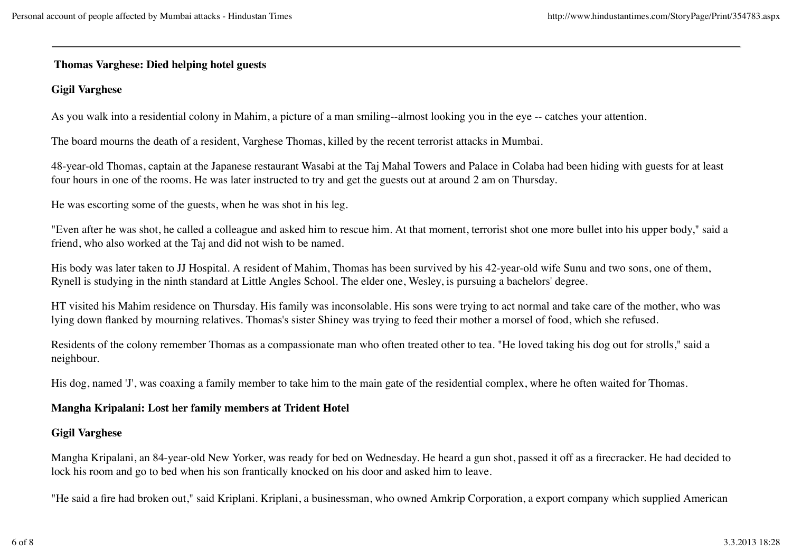#### **Thomas Varghese: Died helping hotel guests**

#### **Gigil Varghese**

As you walk into a residential colony in Mahim, a picture of a man smiling--almost looking you in the eye -- catches your attention.

The board mourns the death of a resident, Varghese Thomas, killed by the recent terrorist attacks in Mumbai.

48-year-old Thomas, captain at the Japanese restaurant Wasabi at the Taj Mahal Towers and Palace in Colaba had been hiding with guests for at least four hours in one of the rooms. He was later instructed to try and get the guests out at around 2 am on Thursday.

He was escorting some of the guests, when he was shot in his leg.

"Even after he was shot, he called a colleague and asked him to rescue him. At that moment, terrorist shot one more bullet into his upper body," said a friend, who also worked at the Taj and did not wish to be named.

His body was later taken to JJ Hospital. A resident of Mahim, Thomas has been survived by his 42-year-old wife Sunu and two sons, one of them, Rynell is studying in the ninth standard at Little Angles School. The elder one, Wesley, is pursuing a bachelors' degree.

HT visited his Mahim residence on Thursday. His family was inconsolable. His sons were trying to act normal and take care of the mother, who was lying down flanked by mourning relatives. Thomas's sister Shiney was trying to feed their mother a morsel of food, which she refused.

Residents of the colony remember Thomas as a compassionate man who often treated other to tea. "He loved taking his dog out for strolls," said a neighbour.

His dog, named 'J', was coaxing a family member to take him to the main gate of the residential complex, where he often waited for Thomas.

# **Mangha Kripalani: Lost her family members at Trident Hotel**

# **Gigil Varghese**

Mangha Kripalani, an 84-year-old New Yorker, was ready for bed on Wednesday. He heard a gun shot, passed it off as a firecracker. He had decided to lock his room and go to bed when his son frantically knocked on his door and asked him to leave.

"He said a fire had broken out," said Kriplani. Kriplani, a businessman, who owned Amkrip Corporation, a export company which supplied American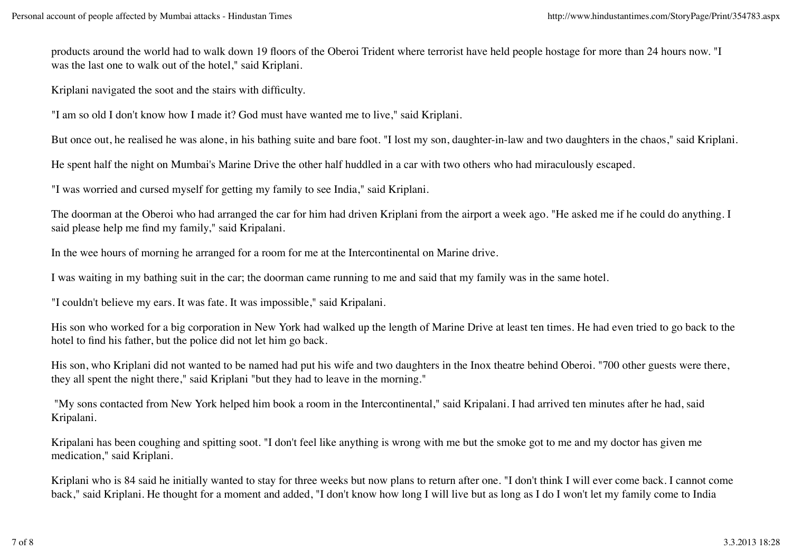products around the world had to walk down 19 floors of the Oberoi Trident where terrorist have held people hostage for more than 24 hours now. "I was the last one to walk out of the hotel," said Kriplani.

Kriplani navigated the soot and the stairs with difficulty.

"I am so old I don't know how I made it? God must have wanted me to live," said Kriplani.

But once out, he realised he was alone, in his bathing suite and bare foot. "I lost my son, daughter-in-law and two daughters in the chaos," said Kriplani.

He spent half the night on Mumbai's Marine Drive the other half huddled in a car with two others who had miraculously escaped.

"I was worried and cursed myself for getting my family to see India," said Kriplani.

The doorman at the Oberoi who had arranged the car for him had driven Kriplani from the airport a week ago. "He asked me if he could do anything. I said please help me find my family," said Kripalani.

In the wee hours of morning he arranged for a room for me at the Intercontinental on Marine drive.

I was waiting in my bathing suit in the car; the doorman came running to me and said that my family was in the same hotel.

"I couldn't believe my ears. It was fate. It was impossible," said Kripalani.

His son who worked for a big corporation in New York had walked up the length of Marine Drive at least ten times. He had even tried to go back to the hotel to find his father, but the police did not let him go back.

His son, who Kriplani did not wanted to be named had put his wife and two daughters in the Inox theatre behind Oberoi. "700 other guests were there, they all spent the night there," said Kriplani "but they had to leave in the morning."

 "My sons contacted from New York helped him book a room in the Intercontinental," said Kripalani. I had arrived ten minutes after he had, said Kripalani.

Kripalani has been coughing and spitting soot. "I don't feel like anything is wrong with me but the smoke got to me and my doctor has given me medication," said Kriplani.

Kriplani who is 84 said he initially wanted to stay for three weeks but now plans to return after one. "I don't think I will ever come back. I cannot come back," said Kriplani. He thought for a moment and added, "I don't know how long I will live but as long as I do I won't let my family come to India